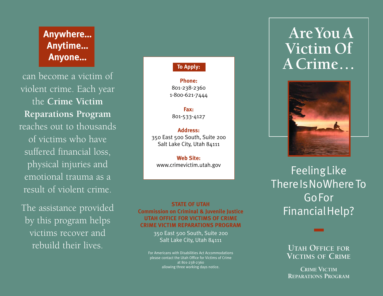## **Anywhere… Anytime… Anyone…**

can become a victim of violent crime. Each year the **Crime Victim Reparations Program**  reaches out to thousands of victims who have suffered financial loss, physical injuries and emotional trauma as a result of violent crime.

The assistance provided by this program helps victims recover and rebuild their lives.

### **To Apply:**

**Phone:** 801-238-2360 1-800-621-7444

**Fax:** 801-533-4127

**Address:** 350 East 500 South, Suite 200 Salt Lake City, Utah 84111

**Web Site:** www.crimevictim.utah.gov

#### **STATE OF UTAH Commission on Criminal & Juvenile Justice UTAH OFFICE FOR VICTIMS OF CRIME CRIME VICTIM REPARATIONS PROGRAM**

350 East 500 South, Suite 200 Salt Lake City, Utah 84111

For Americans with Disabilities Act Accommodations please contact the Utah Office for Victims of Crime at 801-238-2360 allowing three working days notice.

# **AreYou A Victim Of A Crime…**



FeelingLike There Is NoWhere To GoFor FinancialHelp?

> **UTAH OFFICE FOR VICTIMS OF CRIME**

**CRIME VICTIM REPARATIONS PROGRAM**